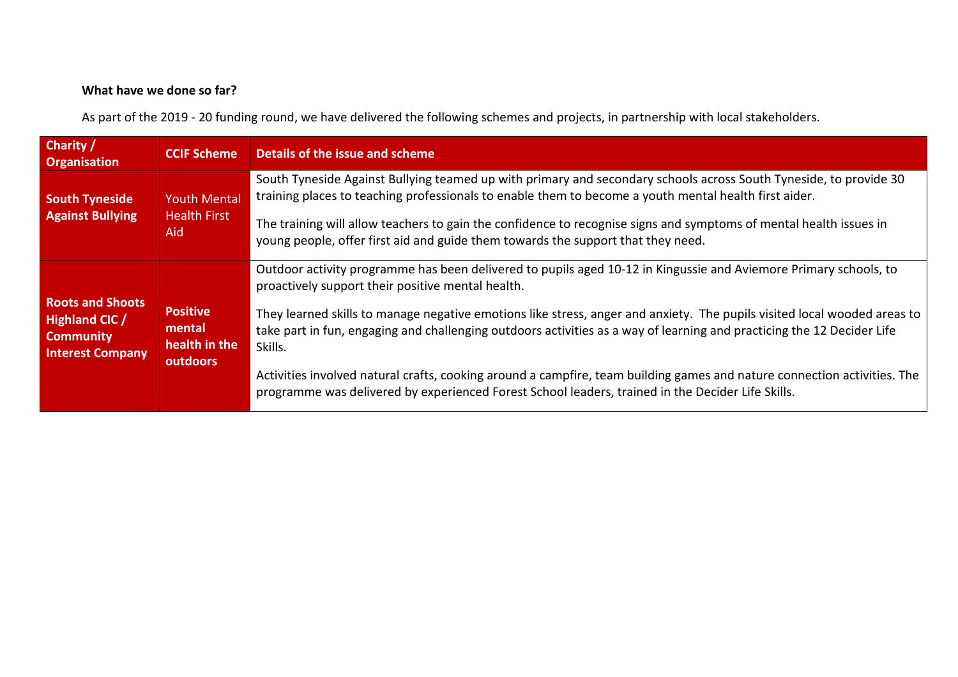## What have we done so far?

As part of the 2019 - 20 funding round, we have delivered the following schemes and projects, in partnership with local stakeholders.

| <b>Charity</b><br><b>Organisation</b>                                                           | <b>CCIF Scheme</b>                                     | Details of the issue and scheme                                                                                                                                                                                                                               |
|-------------------------------------------------------------------------------------------------|--------------------------------------------------------|---------------------------------------------------------------------------------------------------------------------------------------------------------------------------------------------------------------------------------------------------------------|
| <b>South Tyneside</b><br><b>Against Bullying</b>                                                | <b>Youth Mental</b><br><b>Health First</b><br>Aid.     | South Tyneside Against Bullying teamed up with primary and secondary schools across South Tyneside, to provide 30<br>training places to teaching professionals to enable them to become a youth mental health first aider.                                    |
|                                                                                                 |                                                        | The training will allow teachers to gain the confidence to recognise signs and symptoms of mental health issues in<br>young people, offer first aid and guide them towards the support that they need.                                                        |
|                                                                                                 |                                                        | Outdoor activity programme has been delivered to pupils aged 10-12 in Kingussie and Aviemore Primary schools, to<br>proactively support their positive mental health.                                                                                         |
| <b>Roots and Shoots</b><br><b>Highland CIC /</b><br><b>Community</b><br><b>Interest Company</b> | <b>Positive</b><br>mental<br>health in the<br>outdoors | They learned skills to manage negative emotions like stress, anger and anxiety. The pupils visited local wooded areas to<br>take part in fun, engaging and challenging outdoors activities as a way of learning and practicing the 12 Decider Life<br>Skills. |
|                                                                                                 |                                                        | Activities involved natural crafts, cooking around a campfire, team building games and nature connection activities. The<br>programme was delivered by experienced Forest School leaders, trained in the Decider Life Skills.                                 |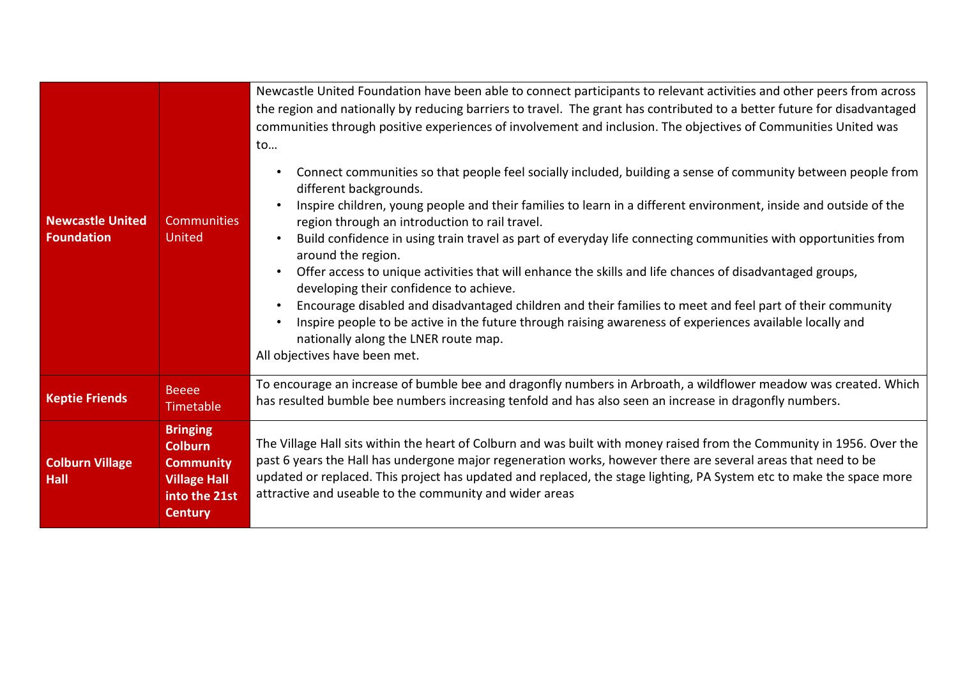| <b>Newcastle United</b><br><b>Foundation</b> | <b>Communities</b><br><b>United</b>                                                                             | Newcastle United Foundation have been able to connect participants to relevant activities and other peers from across<br>the region and nationally by reducing barriers to travel. The grant has contributed to a better future for disadvantaged<br>communities through positive experiences of involvement and inclusion. The objectives of Communities United was<br>to                                                                                                                                                                                                                                                                                                                                                                                                                                                                                                                                                 |
|----------------------------------------------|-----------------------------------------------------------------------------------------------------------------|----------------------------------------------------------------------------------------------------------------------------------------------------------------------------------------------------------------------------------------------------------------------------------------------------------------------------------------------------------------------------------------------------------------------------------------------------------------------------------------------------------------------------------------------------------------------------------------------------------------------------------------------------------------------------------------------------------------------------------------------------------------------------------------------------------------------------------------------------------------------------------------------------------------------------|
|                                              |                                                                                                                 | Connect communities so that people feel socially included, building a sense of community between people from<br>different backgrounds.<br>Inspire children, young people and their families to learn in a different environment, inside and outside of the<br>region through an introduction to rail travel.<br>Build confidence in using train travel as part of everyday life connecting communities with opportunities from<br>$\bullet$<br>around the region.<br>Offer access to unique activities that will enhance the skills and life chances of disadvantaged groups,<br>developing their confidence to achieve.<br>Encourage disabled and disadvantaged children and their families to meet and feel part of their community<br>Inspire people to be active in the future through raising awareness of experiences available locally and<br>nationally along the LNER route map.<br>All objectives have been met. |
| <b>Keptie Friends</b>                        | <b>Beeee</b><br>Timetable                                                                                       | To encourage an increase of bumble bee and dragonfly numbers in Arbroath, a wildflower meadow was created. Which<br>has resulted bumble bee numbers increasing tenfold and has also seen an increase in dragonfly numbers.                                                                                                                                                                                                                                                                                                                                                                                                                                                                                                                                                                                                                                                                                                 |
| <b>Colburn Village</b><br><b>Hall</b>        | <b>Bringing</b><br><b>Colburn</b><br><b>Community</b><br><b>Village Hall</b><br>into the 21st<br><b>Century</b> | The Village Hall sits within the heart of Colburn and was built with money raised from the Community in 1956. Over the<br>past 6 years the Hall has undergone major regeneration works, however there are several areas that need to be<br>updated or replaced. This project has updated and replaced, the stage lighting, PA System etc to make the space more<br>attractive and useable to the community and wider areas                                                                                                                                                                                                                                                                                                                                                                                                                                                                                                 |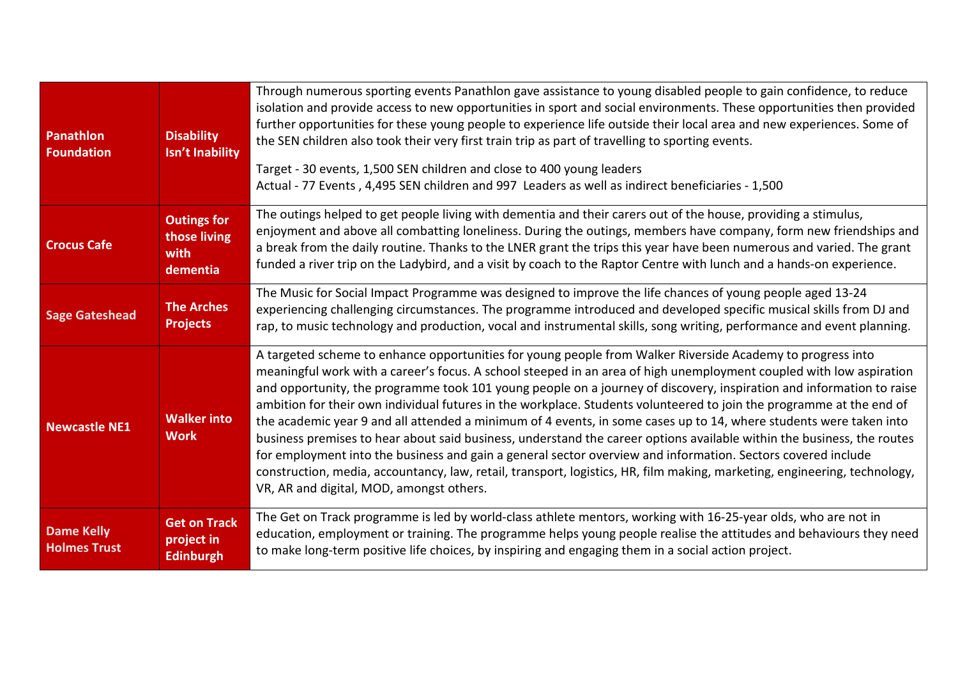| Panathlon<br><b>Foundation</b>           | <b>Disability</b><br>Isn't Inability                   | Through numerous sporting events Panathlon gave assistance to young disabled people to gain confidence, to reduce<br>isolation and provide access to new opportunities in sport and social environments. These opportunities then provided<br>further opportunities for these young people to experience life outside their local area and new experiences. Some of<br>the SEN children also took their very first train trip as part of travelling to sporting events.<br>Target - 30 events, 1,500 SEN children and close to 400 young leaders<br>Actual - 77 Events, 4,495 SEN children and 997 Leaders as well as indirect beneficiaries - 1,500                                                                                                                                                                                                                                                                                                                                                                       |
|------------------------------------------|--------------------------------------------------------|----------------------------------------------------------------------------------------------------------------------------------------------------------------------------------------------------------------------------------------------------------------------------------------------------------------------------------------------------------------------------------------------------------------------------------------------------------------------------------------------------------------------------------------------------------------------------------------------------------------------------------------------------------------------------------------------------------------------------------------------------------------------------------------------------------------------------------------------------------------------------------------------------------------------------------------------------------------------------------------------------------------------------|
| <b>Crocus Cafe</b>                       | <b>Outings for</b><br>those living<br>with<br>dementia | The outings helped to get people living with dementia and their carers out of the house, providing a stimulus,<br>enjoyment and above all combatting loneliness. During the outings, members have company, form new friendships and<br>a break from the daily routine. Thanks to the LNER grant the trips this year have been numerous and varied. The grant<br>funded a river trip on the Ladybird, and a visit by coach to the Raptor Centre with lunch and a hands-on experience.                                                                                                                                                                                                                                                                                                                                                                                                                                                                                                                                       |
| <b>Sage Gateshead</b>                    | <b>The Arches</b><br><b>Projects</b>                   | The Music for Social Impact Programme was designed to improve the life chances of young people aged 13-24<br>experiencing challenging circumstances. The programme introduced and developed specific musical skills from DJ and<br>rap, to music technology and production, vocal and instrumental skills, song writing, performance and event planning.                                                                                                                                                                                                                                                                                                                                                                                                                                                                                                                                                                                                                                                                   |
| <b>Newcastle NE1</b>                     | <b>Walker into</b><br><b>Work</b>                      | A targeted scheme to enhance opportunities for young people from Walker Riverside Academy to progress into<br>meaningful work with a career's focus. A school steeped in an area of high unemployment coupled with low aspiration<br>and opportunity, the programme took 101 young people on a journey of discovery, inspiration and information to raise<br>ambition for their own individual futures in the workplace. Students volunteered to join the programme at the end of<br>the academic year 9 and all attended a minimum of 4 events, in some cases up to 14, where students were taken into<br>business premises to hear about said business, understand the career options available within the business, the routes<br>for employment into the business and gain a general sector overview and information. Sectors covered include<br>construction, media, accountancy, law, retail, transport, logistics, HR, film making, marketing, engineering, technology,<br>VR, AR and digital, MOD, amongst others. |
| <b>Dame Kelly</b><br><b>Holmes Trust</b> | <b>Get on Track</b><br>project in<br><b>Edinburgh</b>  | The Get on Track programme is led by world-class athlete mentors, working with 16-25-year olds, who are not in<br>education, employment or training. The programme helps young people realise the attitudes and behaviours they need<br>to make long-term positive life choices, by inspiring and engaging them in a social action project.                                                                                                                                                                                                                                                                                                                                                                                                                                                                                                                                                                                                                                                                                |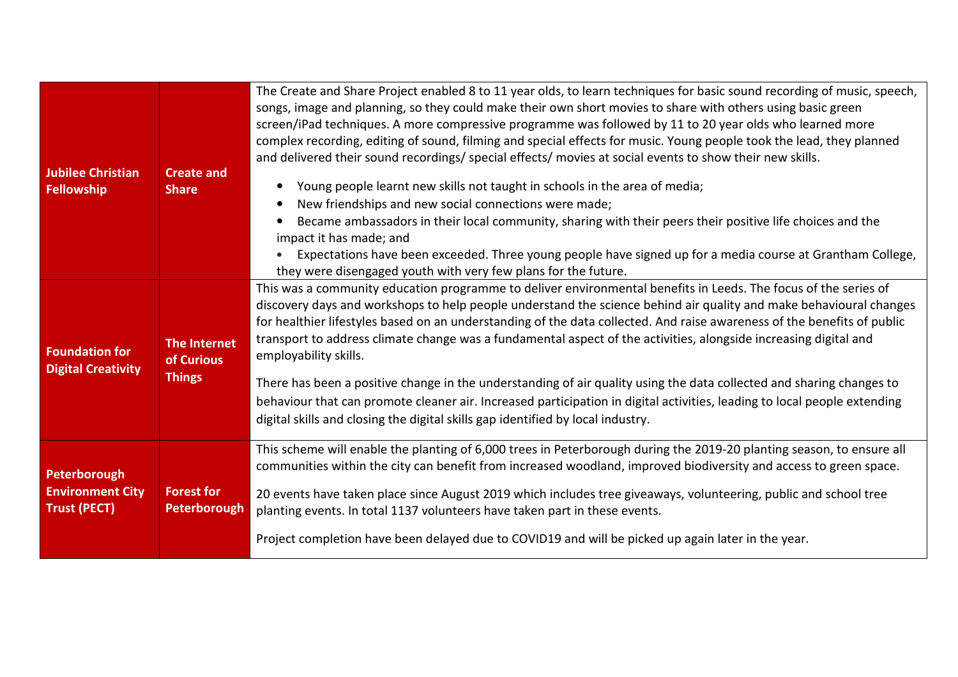| Jubilee Christian<br>Fellowship                                | <b>Create and</b><br><b>Share</b>                  | The Create and Share Project enabled 8 to 11 year olds, to learn techniques for basic sound recording of music, speech,<br>songs, image and planning, so they could make their own short movies to share with others using basic green<br>screen/iPad techniques. A more compressive programme was followed by 11 to 20 year olds who learned more<br>complex recording, editing of sound, filming and special effects for music. Young people took the lead, they planned<br>and delivered their sound recordings/special effects/ movies at social events to show their new skills.<br>Young people learnt new skills not taught in schools in the area of media;<br>New friendships and new social connections were made;<br>Became ambassadors in their local community, sharing with their peers their positive life choices and the<br>impact it has made; and<br>Expectations have been exceeded. Three young people have signed up for a media course at Grantham College,<br>they were disengaged youth with very few plans for the future. |
|----------------------------------------------------------------|----------------------------------------------------|------------------------------------------------------------------------------------------------------------------------------------------------------------------------------------------------------------------------------------------------------------------------------------------------------------------------------------------------------------------------------------------------------------------------------------------------------------------------------------------------------------------------------------------------------------------------------------------------------------------------------------------------------------------------------------------------------------------------------------------------------------------------------------------------------------------------------------------------------------------------------------------------------------------------------------------------------------------------------------------------------------------------------------------------------|
| <b>Foundation for</b><br><b>Digital Creativity</b>             | <b>The Internet</b><br>of Curious<br><b>Things</b> | This was a community education programme to deliver environmental benefits in Leeds. The focus of the series of<br>discovery days and workshops to help people understand the science behind air quality and make behavioural changes<br>for healthier lifestyles based on an understanding of the data collected. And raise awareness of the benefits of public<br>transport to address climate change was a fundamental aspect of the activities, alongside increasing digital and<br>employability skills.<br>There has been a positive change in the understanding of air quality using the data collected and sharing changes to<br>behaviour that can promote cleaner air. Increased participation in digital activities, leading to local people extending<br>digital skills and closing the digital skills gap identified by local industry.                                                                                                                                                                                                 |
| Peterborough<br><b>Environment City</b><br><b>Trust (PECT)</b> | <b>Forest for</b><br>Peterborough                  | This scheme will enable the planting of 6,000 trees in Peterborough during the 2019-20 planting season, to ensure all<br>communities within the city can benefit from increased woodland, improved biodiversity and access to green space.<br>20 events have taken place since August 2019 which includes tree giveaways, volunteering, public and school tree<br>planting events. In total 1137 volunteers have taken part in these events.<br>Project completion have been delayed due to COVID19 and will be picked up again later in the year.                                                                                                                                                                                                                                                                                                                                                                                                                                                                                                   |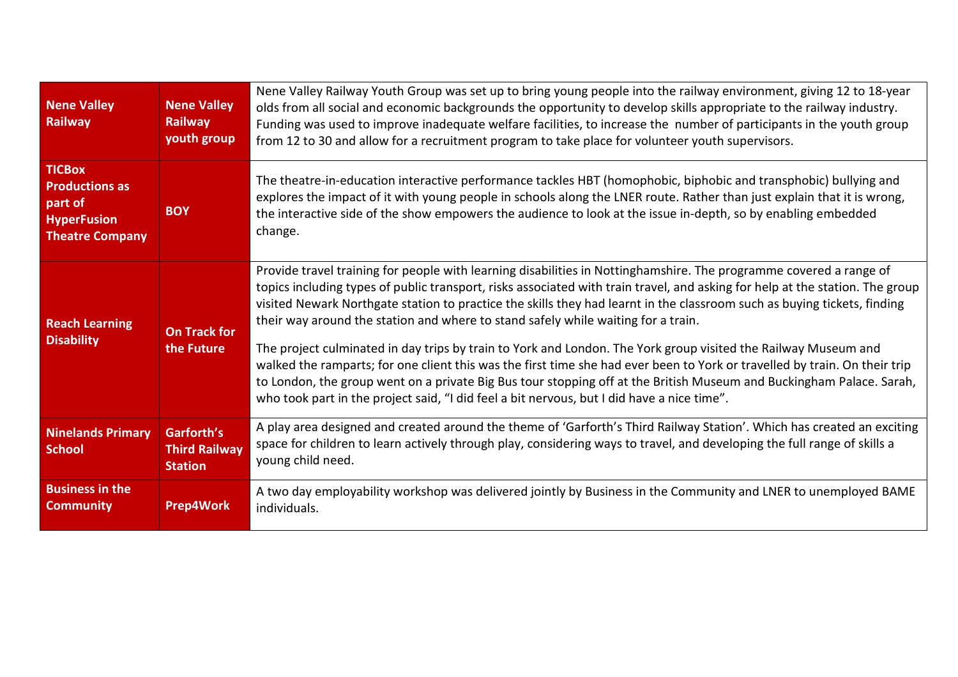| <b>Nene Valley</b><br>Railway                                                                     | <b>Nene Valley</b><br><b>Railway</b><br>youth group  | Nene Valley Railway Youth Group was set up to bring young people into the railway environment, giving 12 to 18-year<br>olds from all social and economic backgrounds the opportunity to develop skills appropriate to the railway industry.<br>Funding was used to improve inadequate welfare facilities, to increase the number of participants in the youth group<br>from 12 to 30 and allow for a recruitment program to take place for volunteer youth supervisors.                                                                                                                                                                                                                                                                                                                                                                                                                                                                    |
|---------------------------------------------------------------------------------------------------|------------------------------------------------------|--------------------------------------------------------------------------------------------------------------------------------------------------------------------------------------------------------------------------------------------------------------------------------------------------------------------------------------------------------------------------------------------------------------------------------------------------------------------------------------------------------------------------------------------------------------------------------------------------------------------------------------------------------------------------------------------------------------------------------------------------------------------------------------------------------------------------------------------------------------------------------------------------------------------------------------------|
| <b>TICBox</b><br><b>Productions as</b><br>part of<br><b>HyperFusion</b><br><b>Theatre Company</b> | <b>BOY</b>                                           | The theatre-in-education interactive performance tackles HBT (homophobic, biphobic and transphobic) bullying and<br>explores the impact of it with young people in schools along the LNER route. Rather than just explain that it is wrong,<br>the interactive side of the show empowers the audience to look at the issue in-depth, so by enabling embedded<br>change.                                                                                                                                                                                                                                                                                                                                                                                                                                                                                                                                                                    |
| <b>Reach Learning</b><br><b>Disability</b>                                                        | <b>On Track for</b><br>the Future                    | Provide travel training for people with learning disabilities in Nottinghamshire. The programme covered a range of<br>topics including types of public transport, risks associated with train travel, and asking for help at the station. The group<br>visited Newark Northgate station to practice the skills they had learnt in the classroom such as buying tickets, finding<br>their way around the station and where to stand safely while waiting for a train.<br>The project culminated in day trips by train to York and London. The York group visited the Railway Museum and<br>walked the ramparts; for one client this was the first time she had ever been to York or travelled by train. On their trip<br>to London, the group went on a private Big Bus tour stopping off at the British Museum and Buckingham Palace. Sarah,<br>who took part in the project said, "I did feel a bit nervous, but I did have a nice time". |
| <b>Ninelands Primary</b><br><b>School</b>                                                         | Garforth's<br><b>Third Railway</b><br><b>Station</b> | A play area designed and created around the theme of 'Garforth's Third Railway Station'. Which has created an exciting<br>space for children to learn actively through play, considering ways to travel, and developing the full range of skills a<br>young child need.                                                                                                                                                                                                                                                                                                                                                                                                                                                                                                                                                                                                                                                                    |
| <b>Business in the</b><br><b>Community</b>                                                        | <b>Prep4Work</b>                                     | A two day employability workshop was delivered jointly by Business in the Community and LNER to unemployed BAME<br>individuals.                                                                                                                                                                                                                                                                                                                                                                                                                                                                                                                                                                                                                                                                                                                                                                                                            |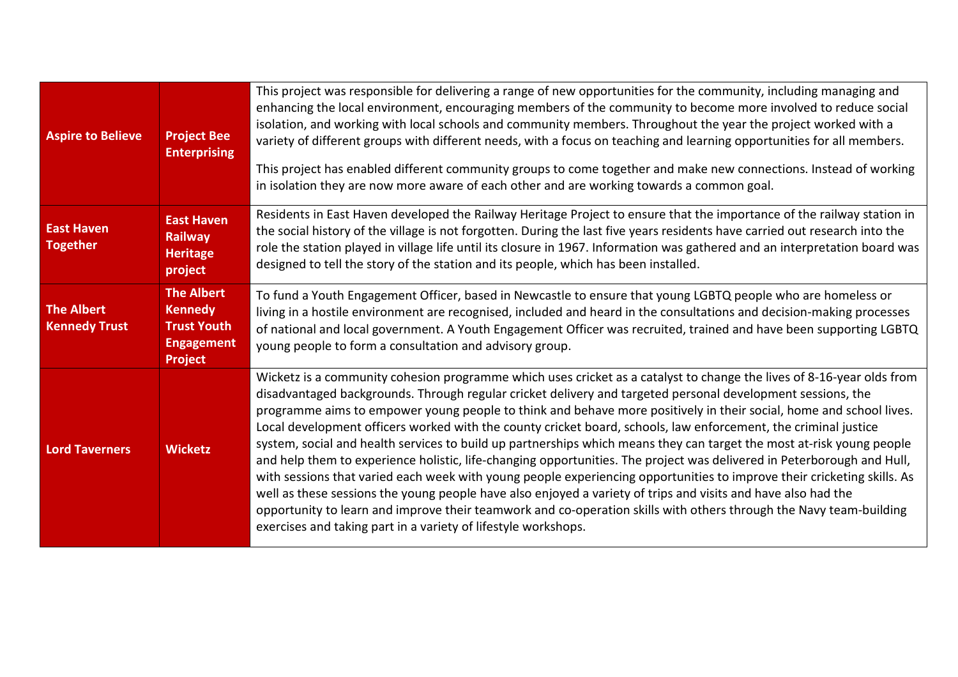| <b>Aspire to Believe</b>                  | <b>Project Bee</b><br><b>Enterprising</b>                                                        | This project was responsible for delivering a range of new opportunities for the community, including managing and<br>enhancing the local environment, encouraging members of the community to become more involved to reduce social<br>isolation, and working with local schools and community members. Throughout the year the project worked with a<br>variety of different groups with different needs, with a focus on teaching and learning opportunities for all members.<br>This project has enabled different community groups to come together and make new connections. Instead of working<br>in isolation they are now more aware of each other and are working towards a common goal.                                                                                                                                                                                                                                                                                                                                                                                                                                                                   |
|-------------------------------------------|--------------------------------------------------------------------------------------------------|----------------------------------------------------------------------------------------------------------------------------------------------------------------------------------------------------------------------------------------------------------------------------------------------------------------------------------------------------------------------------------------------------------------------------------------------------------------------------------------------------------------------------------------------------------------------------------------------------------------------------------------------------------------------------------------------------------------------------------------------------------------------------------------------------------------------------------------------------------------------------------------------------------------------------------------------------------------------------------------------------------------------------------------------------------------------------------------------------------------------------------------------------------------------|
| <b>East Haven</b><br><b>Together</b>      | <b>East Haven</b><br><b>Railway</b><br><b>Heritage</b><br>project                                | Residents in East Haven developed the Railway Heritage Project to ensure that the importance of the railway station in<br>the social history of the village is not forgotten. During the last five years residents have carried out research into the<br>role the station played in village life until its closure in 1967. Information was gathered and an interpretation board was<br>designed to tell the story of the station and its people, which has been installed.                                                                                                                                                                                                                                                                                                                                                                                                                                                                                                                                                                                                                                                                                          |
| <b>The Albert</b><br><b>Kennedy Trust</b> | <b>The Albert</b><br><b>Kennedy</b><br><b>Trust Youth</b><br><b>Engagement</b><br><b>Project</b> | To fund a Youth Engagement Officer, based in Newcastle to ensure that young LGBTQ people who are homeless or<br>living in a hostile environment are recognised, included and heard in the consultations and decision-making processes<br>of national and local government. A Youth Engagement Officer was recruited, trained and have been supporting LGBTQ<br>young people to form a consultation and advisory group.                                                                                                                                                                                                                                                                                                                                                                                                                                                                                                                                                                                                                                                                                                                                               |
| <b>Lord Taverners</b>                     | <b>Wicketz</b>                                                                                   | Wicketz is a community cohesion programme which uses cricket as a catalyst to change the lives of 8-16-year olds from<br>disadvantaged backgrounds. Through regular cricket delivery and targeted personal development sessions, the<br>programme aims to empower young people to think and behave more positively in their social, home and school lives.<br>Local development officers worked with the county cricket board, schools, law enforcement, the criminal justice<br>system, social and health services to build up partnerships which means they can target the most at-risk young people<br>and help them to experience holistic, life-changing opportunities. The project was delivered in Peterborough and Hull,<br>with sessions that varied each week with young people experiencing opportunities to improve their cricketing skills. As<br>well as these sessions the young people have also enjoyed a variety of trips and visits and have also had the<br>opportunity to learn and improve their teamwork and co-operation skills with others through the Navy team-building<br>exercises and taking part in a variety of lifestyle workshops. |